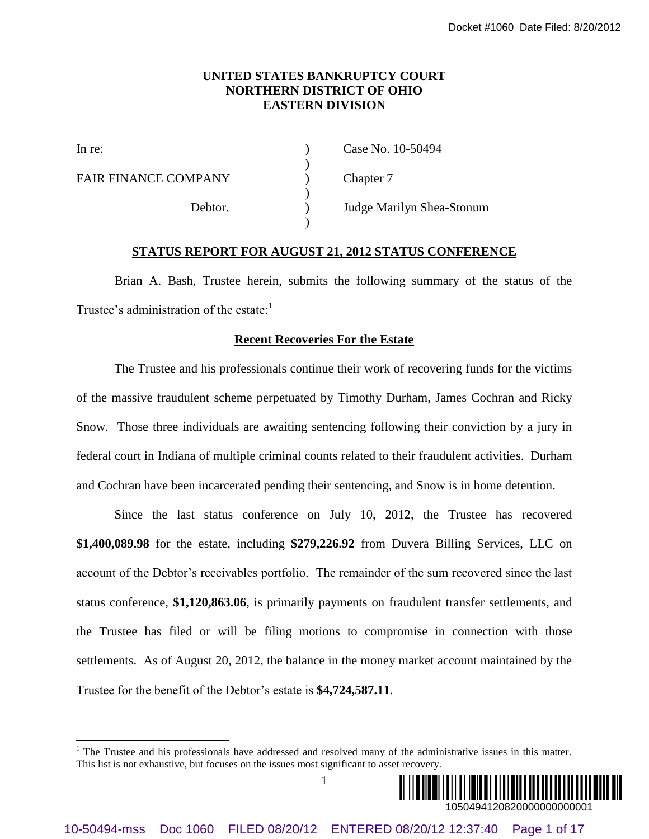## **UNITED STATES BANKRUPTCY COURT NORTHERN DISTRICT OF OHIO EASTERN DIVISION**

)

)

)

l

FAIR FINANCE COMPANY (a) Chapter 7

In re: (a) Case No. 10-50494

Debtor. ) Judge Marilyn Shea-Stonum

## **STATUS REPORT FOR AUGUST 21, 2012 STATUS CONFERENCE**

Brian A. Bash, Trustee herein, submits the following summary of the status of the Trustee's administration of the estate: $<sup>1</sup>$ </sup>

### **Recent Recoveries For the Estate**

The Trustee and his professionals continue their work of recovering funds for the victims of the massive fraudulent scheme perpetuated by Timothy Durham, James Cochran and Ricky Snow. Those three individuals are awaiting sentencing following their conviction by a jury in federal court in Indiana of multiple criminal counts related to their fraudulent activities. Durham and Cochran have been incarcerated pending their sentencing, and Snow is in home detention.

Since the last status conference on July 10, 2012, the Trustee has recovered **\$1,400,089.98** for the estate, including **\$279,226.92** from Duvera Billing Services, LLC on account of the Debtor's receivables portfolio. The remainder of the sum recovered since the last status conference, **\$1,120,863.06**, is primarily payments on fraudulent transfer settlements, and the Trustee has filed or will be filing motions to compromise in connection with those settlements. As of August 20, 2012, the balance in the money market account maintained by the Trustee for the benefit of the Debtor's estate is **\$4,724,587.11**. 10-60494-mss Docot + 4000 FIRE SUNTAINET CV CONTRA<br>
10-60494-mss Doc 100-50494-ms<br>
10-606 FIREN FIRANCE COMPARY<br>
12:38 FIRANCE COMPARY<br>
12:38:10 Page 17<br>
12:39:25:40 Page 17<br>
12:39:25:40 Page 17<br>
12:39:25:40 Page 2 Marily

1



 $1$  The Trustee and his professionals have addressed and resolved many of the administrative issues in this matter. This list is not exhaustive, but focuses on the issues most significant to asset recovery.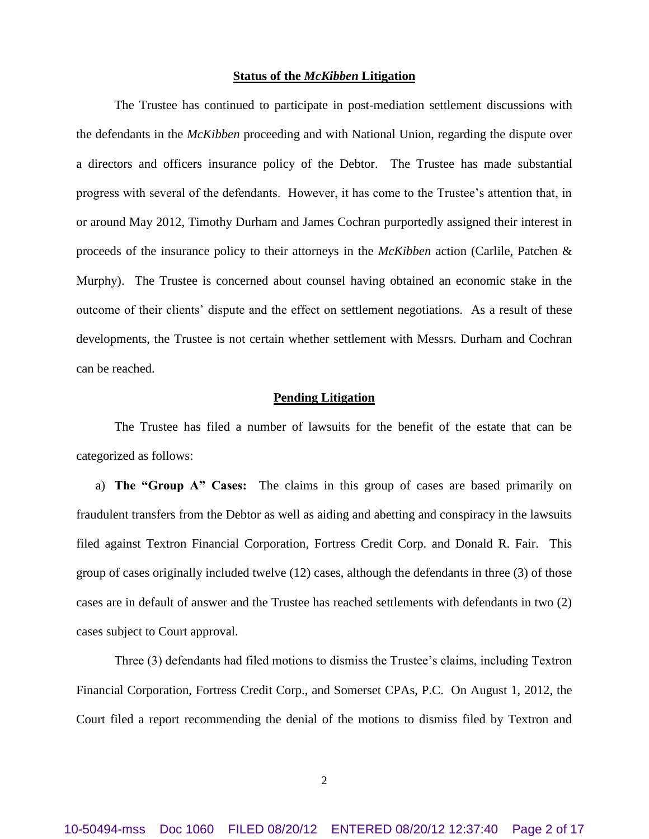### **Status of the** *McKibben* **Litigation**

The Trustee has continued to participate in post-mediation settlement discussions with the defendants in the *McKibben* proceeding and with National Union, regarding the dispute over a directors and officers insurance policy of the Debtor. The Trustee has made substantial progress with several of the defendants. However, it has come to the Trustee's attention that, in or around May 2012, Timothy Durham and James Cochran purportedly assigned their interest in proceeds of the insurance policy to their attorneys in the *McKibben* action (Carlile, Patchen & Murphy). The Trustee is concerned about counsel having obtained an economic stake in the outcome of their clients' dispute and the effect on settlement negotiations. As a result of these developments, the Trustee is not certain whether settlement with Messrs. Durham and Cochran can be reached.

### **Pending Litigation**

The Trustee has filed a number of lawsuits for the benefit of the estate that can be categorized as follows:

a) **The "Group A" Cases:** The claims in this group of cases are based primarily on fraudulent transfers from the Debtor as well as aiding and abetting and conspiracy in the lawsuits filed against Textron Financial Corporation, Fortress Credit Corp. and Donald R. Fair. This group of cases originally included twelve (12) cases, although the defendants in three (3) of those cases are in default of answer and the Trustee has reached settlements with defendants in two (2) cases subject to Court approval.

Three (3) defendants had filed motions to dismiss the Trustee's claims, including Textron Financial Corporation, Fortress Credit Corp., and Somerset CPAs, P.C. On August 1, 2012, the Court filed a report recommending the denial of the motions to dismiss filed by Textron and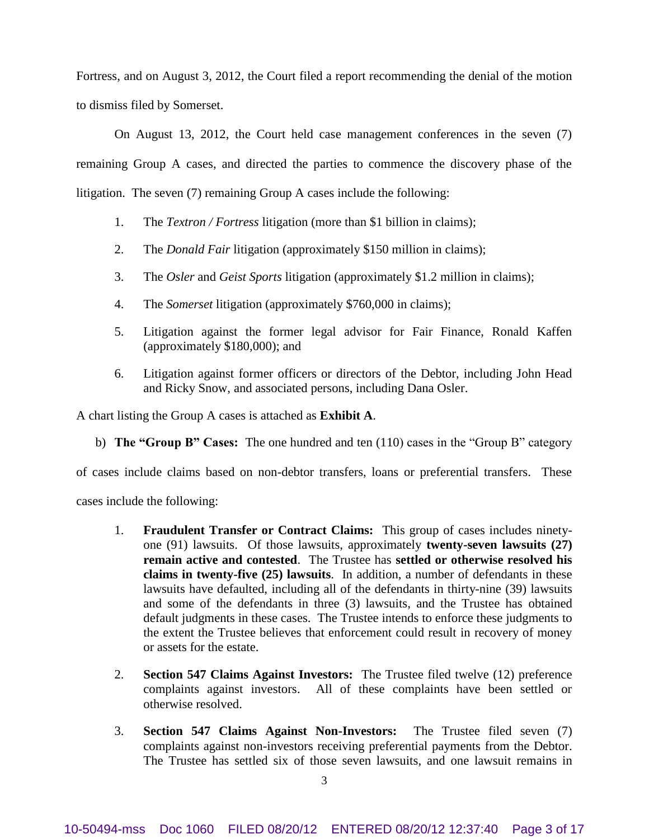Fortress, and on August 3, 2012, the Court filed a report recommending the denial of the motion to dismiss filed by Somerset.

On August 13, 2012, the Court held case management conferences in the seven (7) remaining Group A cases, and directed the parties to commence the discovery phase of the litigation. The seven (7) remaining Group A cases include the following:

- 1. The *Textron / Fortress* litigation (more than \$1 billion in claims);
- 2. The *Donald Fair* litigation (approximately \$150 million in claims);
- 3. The *Osler* and *Geist Sports* litigation (approximately \$1.2 million in claims);
- 4. The *Somerset* litigation (approximately \$760,000 in claims);
- 5. Litigation against the former legal advisor for Fair Finance, Ronald Kaffen (approximately \$180,000); and
- 6. Litigation against former officers or directors of the Debtor, including John Head and Ricky Snow, and associated persons, including Dana Osler.

A chart listing the Group A cases is attached as **Exhibit A**.

b) **The "Group B" Cases:** The one hundred and ten (110) cases in the "Group B" category

of cases include claims based on non-debtor transfers, loans or preferential transfers. These

cases include the following:

- 1. **Fraudulent Transfer or Contract Claims:** This group of cases includes ninetyone (91) lawsuits. Of those lawsuits, approximately **twenty-seven lawsuits (27) remain active and contested**. The Trustee has **settled or otherwise resolved his claims in twenty-five (25) lawsuits**. In addition, a number of defendants in these lawsuits have defaulted, including all of the defendants in thirty-nine (39) lawsuits and some of the defendants in three (3) lawsuits, and the Trustee has obtained default judgments in these cases. The Trustee intends to enforce these judgments to the extent the Trustee believes that enforcement could result in recovery of money or assets for the estate.
- 2. **Section 547 Claims Against Investors:** The Trustee filed twelve (12) preference complaints against investors. All of these complaints have been settled or otherwise resolved.
- 3. **Section 547 Claims Against Non-Investors:** The Trustee filed seven (7) complaints against non-investors receiving preferential payments from the Debtor. The Trustee has settled six of those seven lawsuits, and one lawsuit remains in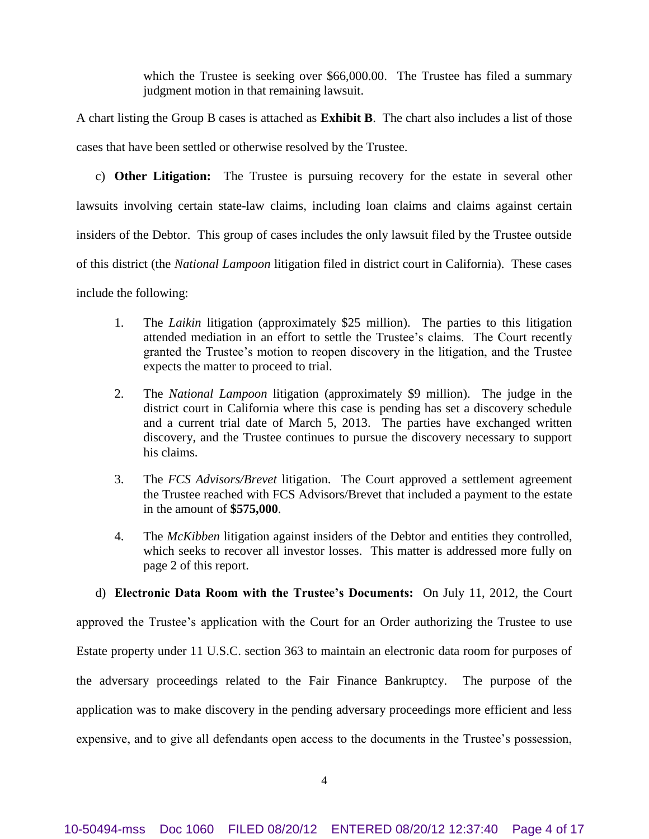which the Trustee is seeking over \$66,000.00. The Trustee has filed a summary judgment motion in that remaining lawsuit.

A chart listing the Group B cases is attached as **Exhibit B**. The chart also includes a list of those cases that have been settled or otherwise resolved by the Trustee.

c) **Other Litigation:** The Trustee is pursuing recovery for the estate in several other lawsuits involving certain state-law claims, including loan claims and claims against certain insiders of the Debtor. This group of cases includes the only lawsuit filed by the Trustee outside of this district (the *National Lampoon* litigation filed in district court in California). These cases include the following:

- 1. The *Laikin* litigation (approximately \$25 million). The parties to this litigation attended mediation in an effort to settle the Trustee's claims. The Court recently granted the Trustee's motion to reopen discovery in the litigation, and the Trustee expects the matter to proceed to trial.
- 2. The *National Lampoon* litigation (approximately \$9 million). The judge in the district court in California where this case is pending has set a discovery schedule and a current trial date of March 5, 2013. The parties have exchanged written discovery, and the Trustee continues to pursue the discovery necessary to support his claims.
- 3. The *FCS Advisors/Brevet* litigation. The Court approved a settlement agreement the Trustee reached with FCS Advisors/Brevet that included a payment to the estate in the amount of **\$575,000**.
- 4. The *McKibben* litigation against insiders of the Debtor and entities they controlled, which seeks to recover all investor losses. This matter is addressed more fully on page 2 of this report.

d) **Electronic Data Room with the Trustee's Documents:** On July 11, 2012, the Court approved the Trustee's application with the Court for an Order authorizing the Trustee to use Estate property under 11 U.S.C. section 363 to maintain an electronic data room for purposes of the adversary proceedings related to the Fair Finance Bankruptcy. The purpose of the application was to make discovery in the pending adversary proceedings more efficient and less expensive, and to give all defendants open access to the documents in the Trustee's possession,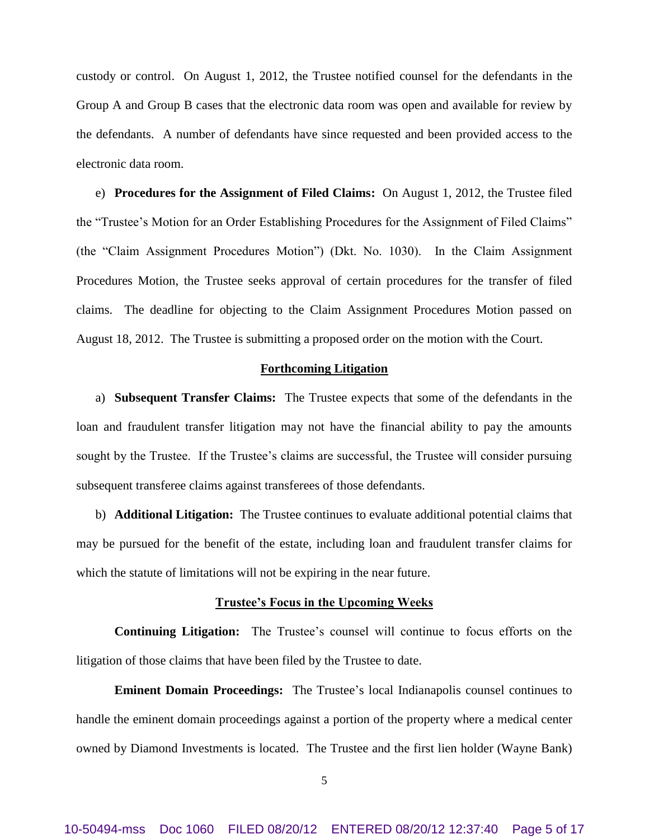custody or control. On August 1, 2012, the Trustee notified counsel for the defendants in the Group A and Group B cases that the electronic data room was open and available for review by the defendants. A number of defendants have since requested and been provided access to the electronic data room.

e) **Procedures for the Assignment of Filed Claims:** On August 1, 2012, the Trustee filed the "Trustee's Motion for an Order Establishing Procedures for the Assignment of Filed Claims" (the "Claim Assignment Procedures Motion") (Dkt. No. 1030). In the Claim Assignment Procedures Motion, the Trustee seeks approval of certain procedures for the transfer of filed claims. The deadline for objecting to the Claim Assignment Procedures Motion passed on August 18, 2012. The Trustee is submitting a proposed order on the motion with the Court.

### **Forthcoming Litigation**

a) **Subsequent Transfer Claims:** The Trustee expects that some of the defendants in the loan and fraudulent transfer litigation may not have the financial ability to pay the amounts sought by the Trustee. If the Trustee's claims are successful, the Trustee will consider pursuing subsequent transferee claims against transferees of those defendants.

b) **Additional Litigation:** The Trustee continues to evaluate additional potential claims that may be pursued for the benefit of the estate, including loan and fraudulent transfer claims for which the statute of limitations will not be expiring in the near future.

### **Trustee's Focus in the Upcoming Weeks**

**Continuing Litigation:** The Trustee's counsel will continue to focus efforts on the litigation of those claims that have been filed by the Trustee to date.

**Eminent Domain Proceedings:** The Trustee's local Indianapolis counsel continues to handle the eminent domain proceedings against a portion of the property where a medical center owned by Diamond Investments is located. The Trustee and the first lien holder (Wayne Bank)

5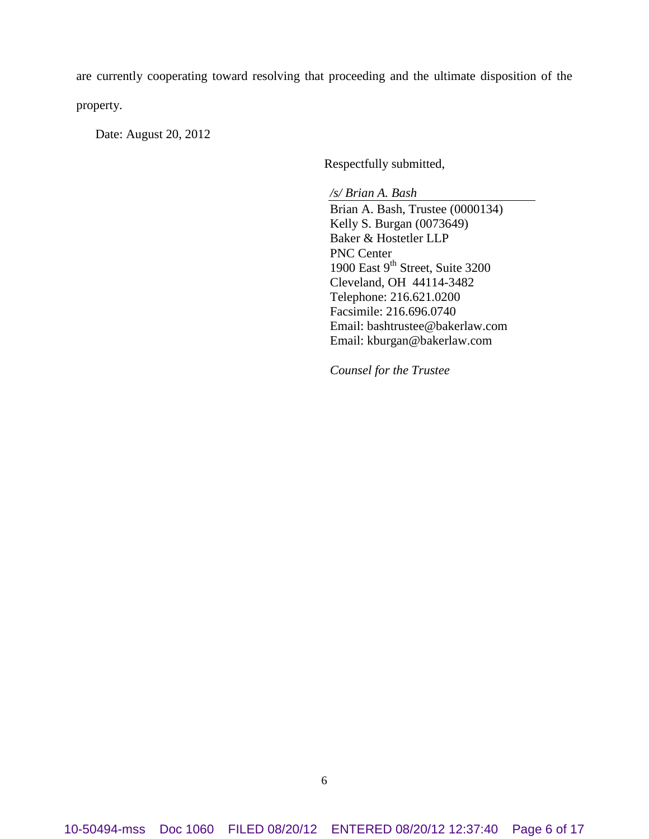are currently cooperating toward resolving that proceeding and the ultimate disposition of the property.

Date: August 20, 2012

Respectfully submitted,

*/s/ Brian A. Bash* Brian A. Bash, Trustee (0000134) Kelly S. Burgan (0073649) Baker & Hostetler LLP PNC Center 1900 East  $9<sup>th</sup>$  Street, Suite 3200 Cleveland, OH 44114-3482 Telephone: 216.621.0200 Facsimile: 216.696.0740 Email: bashtrustee@bakerlaw.com Email: kburgan@bakerlaw.com

*Counsel for the Trustee*

10-50494-mss Doc 1060 FILED 08/20/12 ENTERED 08/20/12 12:37:40 Page 6 of 17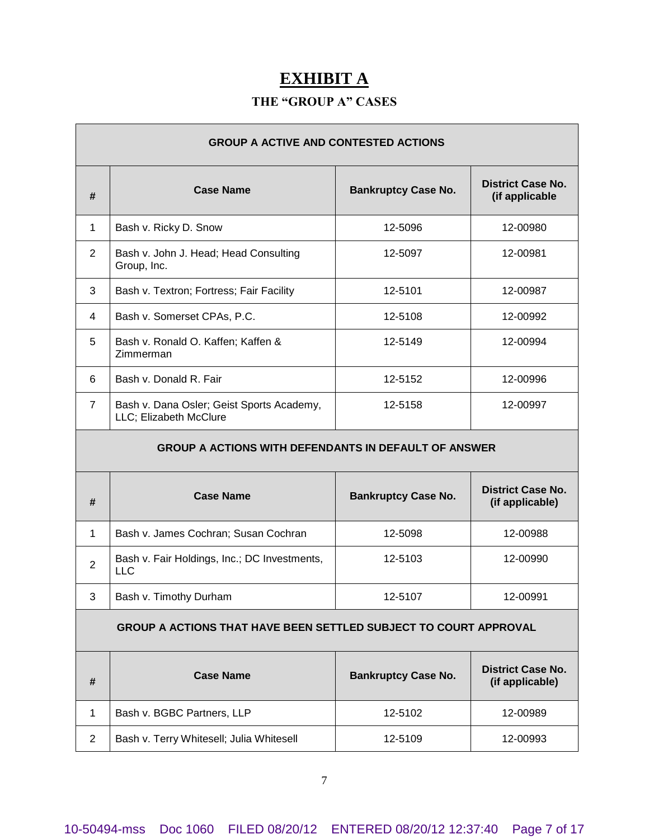# **EXHIBIT A**

# **THE "GROUP A" CASES**

| <b>GROUP A ACTIVE AND CONTESTED ACTIONS</b> |                                                                         |                            |                                             |
|---------------------------------------------|-------------------------------------------------------------------------|----------------------------|---------------------------------------------|
| #                                           | <b>Case Name</b>                                                        | <b>Bankruptcy Case No.</b> | <b>District Case No.</b><br>(if applicable  |
| 1                                           | Bash v. Ricky D. Snow                                                   | 12-5096                    | 12-00980                                    |
| $\overline{2}$                              | Bash v. John J. Head; Head Consulting<br>Group, Inc.                    | 12-5097                    | 12-00981                                    |
| 3                                           | Bash v. Textron; Fortress; Fair Facility                                | 12-5101                    | 12-00987                                    |
| 4                                           | Bash v. Somerset CPAs, P.C.                                             | 12-5108                    | 12-00992                                    |
| 5                                           | Bash v. Ronald O. Kaffen; Kaffen &<br>Zimmerman                         | 12-5149                    | 12-00994                                    |
| 6                                           | Bash v. Donald R. Fair                                                  | 12-5152                    | 12-00996                                    |
| $\overline{7}$                              | Bash v. Dana Osler; Geist Sports Academy,<br>LLC; Elizabeth McClure     | 12-5158                    | 12-00997                                    |
|                                             | <b>GROUP A ACTIONS WITH DEFENDANTS IN DEFAULT OF ANSWER</b>             |                            |                                             |
| #                                           | <b>Case Name</b>                                                        | <b>Bankruptcy Case No.</b> | <b>District Case No.</b><br>(if applicable) |
| 1                                           | Bash v. James Cochran; Susan Cochran                                    | 12-5098                    | 12-00988                                    |
| $\overline{2}$                              | Bash v. Fair Holdings, Inc.; DC Investments,<br><b>LLC</b>              | 12-5103                    | 12-00990                                    |
| 3                                           | Bash v. Timothy Durham                                                  | 12-5107                    | 12-00991                                    |
|                                             | <b>GROUP A ACTIONS THAT HAVE BEEN SETTLED SUBJECT TO COURT APPROVAL</b> |                            |                                             |
| #                                           | <b>Case Name</b>                                                        | <b>Bankruptcy Case No.</b> | <b>District Case No.</b><br>(if applicable) |
| 1                                           |                                                                         |                            |                                             |
|                                             | Bash v. BGBC Partners, LLP                                              | 12-5102                    | 12-00989                                    |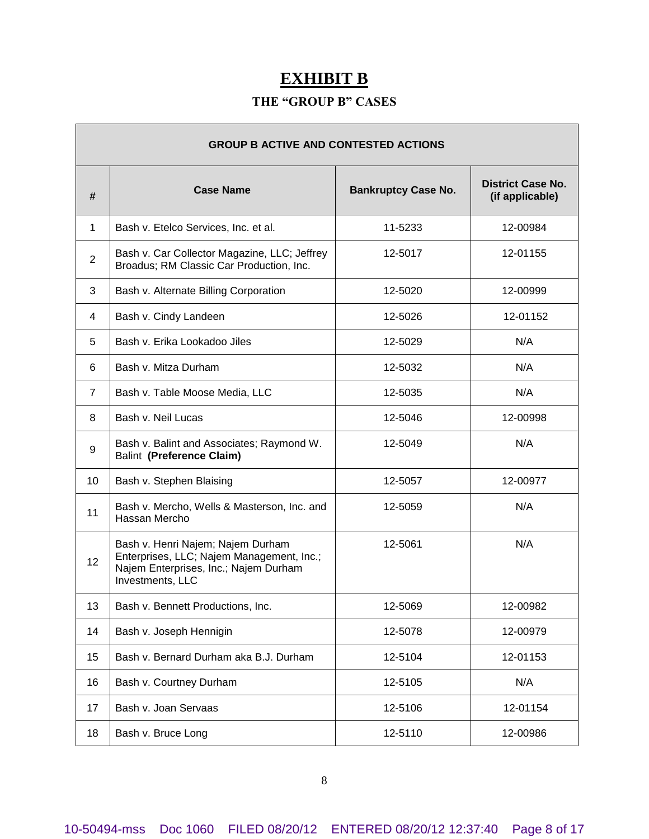# **EXHIBIT B**

# **THE "GROUP B" CASES**

Г

| <b>GROUP B ACTIVE AND CONTESTED ACTIONS</b> |                                                                                                                                             |                            |                                             |
|---------------------------------------------|---------------------------------------------------------------------------------------------------------------------------------------------|----------------------------|---------------------------------------------|
| #                                           | <b>Case Name</b>                                                                                                                            | <b>Bankruptcy Case No.</b> | <b>District Case No.</b><br>(if applicable) |
| 1                                           | Bash v. Etelco Services, Inc. et al.                                                                                                        | 11-5233                    | 12-00984                                    |
| $\overline{2}$                              | Bash v. Car Collector Magazine, LLC; Jeffrey<br>Broadus; RM Classic Car Production, Inc.                                                    | 12-5017                    | 12-01155                                    |
| 3                                           | Bash v. Alternate Billing Corporation                                                                                                       | 12-5020                    | 12-00999                                    |
| 4                                           | Bash v. Cindy Landeen                                                                                                                       | 12-5026                    | 12-01152                                    |
| 5                                           | Bash v. Erika Lookadoo Jiles                                                                                                                | 12-5029                    | N/A                                         |
| 6                                           | Bash v. Mitza Durham                                                                                                                        | 12-5032                    | N/A                                         |
| 7                                           | Bash v. Table Moose Media, LLC                                                                                                              | 12-5035                    | N/A                                         |
| 8                                           | Bash v. Neil Lucas                                                                                                                          | 12-5046                    | 12-00998                                    |
| 9                                           | Bash v. Balint and Associates; Raymond W.<br><b>Balint (Preference Claim)</b>                                                               | 12-5049                    | N/A                                         |
| 10                                          | Bash v. Stephen Blaising                                                                                                                    | 12-5057                    | 12-00977                                    |
| 11                                          | Bash v. Mercho, Wells & Masterson, Inc. and<br>Hassan Mercho                                                                                | 12-5059                    | N/A                                         |
| 12                                          | Bash v. Henri Najem; Najem Durham<br>Enterprises, LLC; Najem Management, Inc.;<br>Najem Enterprises, Inc.; Najem Durham<br>Investments, LLC | 12-5061                    | N/A                                         |
| 13                                          | Bash v. Bennett Productions, Inc.                                                                                                           | 12-5069                    | 12-00982                                    |
| 14                                          | Bash v. Joseph Hennigin                                                                                                                     | 12-5078                    | 12-00979                                    |
| 15                                          | Bash v. Bernard Durham aka B.J. Durham                                                                                                      | 12-5104                    | 12-01153                                    |
| 16                                          | Bash v. Courtney Durham                                                                                                                     | 12-5105                    | N/A                                         |
| 17                                          | Bash v. Joan Servaas                                                                                                                        | 12-5106                    | 12-01154                                    |
| 18                                          | Bash v. Bruce Long                                                                                                                          | 12-5110                    | 12-00986                                    |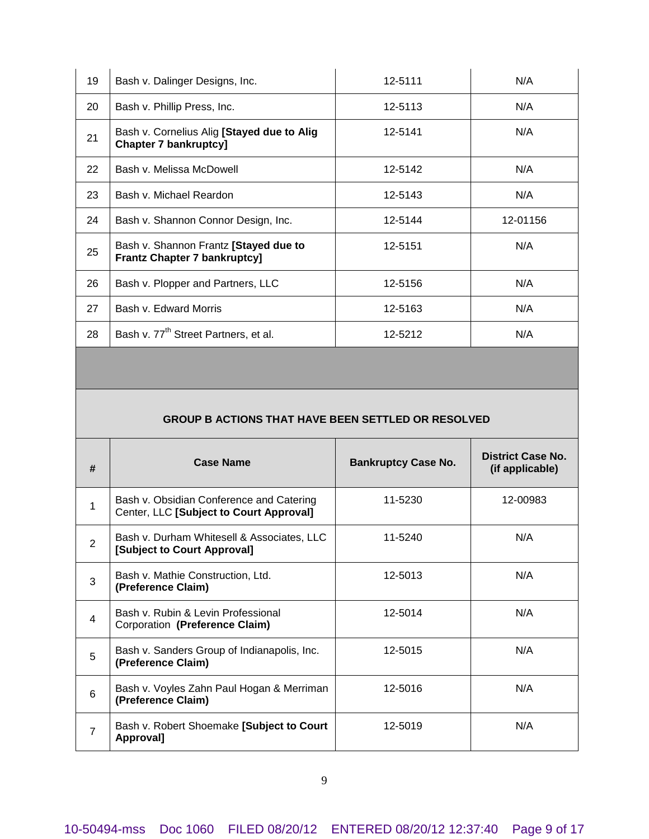| 19 | Bash v. Dalinger Designs, Inc.                                               | 12-5111 | N/A      |
|----|------------------------------------------------------------------------------|---------|----------|
| 20 | Bash v. Phillip Press, Inc.                                                  | 12-5113 | N/A      |
| 21 | Bash v. Cornelius Alig [Stayed due to Alig<br><b>Chapter 7 bankruptcy]</b>   | 12-5141 | N/A      |
| 22 | Bash v. Melissa McDowell                                                     | 12-5142 | N/A      |
| 23 | Bash v. Michael Reardon                                                      | 12-5143 | N/A      |
| 24 | Bash v. Shannon Connor Design, Inc.                                          | 12-5144 | 12-01156 |
| 25 | Bash v. Shannon Frantz [Stayed due to<br><b>Frantz Chapter 7 bankruptcy]</b> | 12-5151 | N/A      |
| 26 | Bash v. Plopper and Partners, LLC                                            | 12-5156 | N/A      |
| 27 | Bash v. Edward Morris                                                        | 12-5163 | N/A      |
| 28 | Bash v. 77 <sup>th</sup> Street Partners, et al.                             | 12-5212 | N/A      |

 $\mathbf{r}$ 

# **GROUP B ACTIONS THAT HAVE BEEN SETTLED OR RESOLVED**

| #                       | <b>Case Name</b>                                                                    | <b>Bankruptcy Case No.</b> | District Case No.<br>(if applicable) |
|-------------------------|-------------------------------------------------------------------------------------|----------------------------|--------------------------------------|
| 1                       | Bash v. Obsidian Conference and Catering<br>Center, LLC [Subject to Court Approval] | 11-5230                    | 12-00983                             |
| 2                       | Bash v. Durham Whitesell & Associates, LLC<br>[Subject to Court Approval]           | 11-5240                    | N/A                                  |
| 3                       | Bash v. Mathie Construction, Ltd.<br>(Preference Claim)                             | 12-5013                    | N/A                                  |
| $\overline{\mathbf{4}}$ | Bash v. Rubin & Levin Professional<br>Corporation (Preference Claim)                | 12-5014                    | N/A                                  |
| 5                       | Bash v. Sanders Group of Indianapolis, Inc.<br>(Preference Claim)                   | 12-5015                    | N/A                                  |
| 6                       | Bash v. Voyles Zahn Paul Hogan & Merriman<br>(Preference Claim)                     | 12-5016                    | N/A                                  |
| $\overline{7}$          | Bash v. Robert Shoemake [Subject to Court<br>Approval]                              | 12-5019                    | N/A                                  |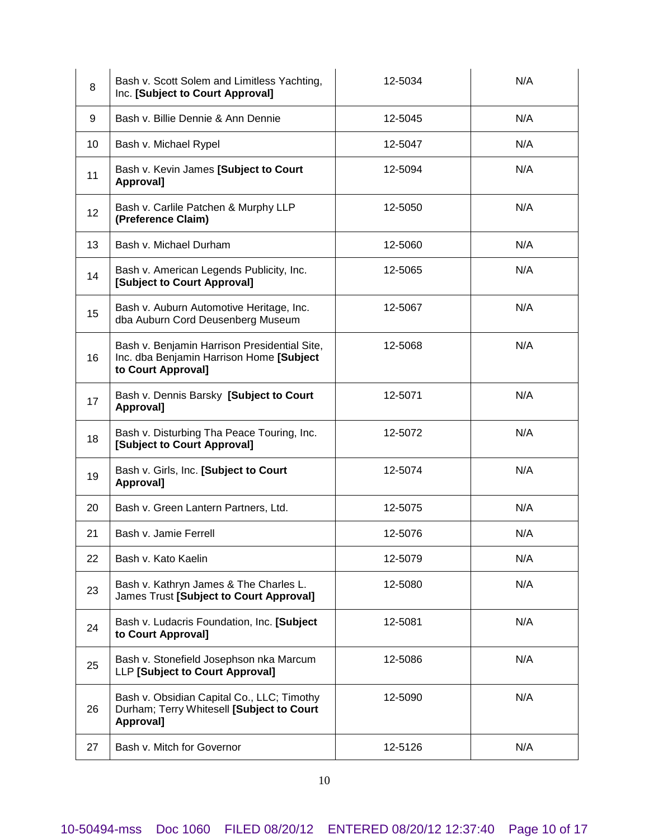| 8  | Bash v. Scott Solem and Limitless Yachting,<br>Inc. [Subject to Court Approval]                                | 12-5034 | N/A |
|----|----------------------------------------------------------------------------------------------------------------|---------|-----|
| 9  | Bash v. Billie Dennie & Ann Dennie                                                                             | 12-5045 | N/A |
| 10 | Bash v. Michael Rypel                                                                                          | 12-5047 | N/A |
| 11 | Bash v. Kevin James [Subject to Court<br>Approval]                                                             | 12-5094 | N/A |
| 12 | Bash v. Carlile Patchen & Murphy LLP<br>(Preference Claim)                                                     | 12-5050 | N/A |
| 13 | Bash v. Michael Durham                                                                                         | 12-5060 | N/A |
| 14 | Bash v. American Legends Publicity, Inc.<br>[Subject to Court Approval]                                        | 12-5065 | N/A |
| 15 | Bash v. Auburn Automotive Heritage, Inc.<br>dba Auburn Cord Deusenberg Museum                                  | 12-5067 | N/A |
| 16 | Bash v. Benjamin Harrison Presidential Site,<br>Inc. dba Benjamin Harrison Home [Subject<br>to Court Approval] | 12-5068 | N/A |
| 17 | Bash v. Dennis Barsky [Subject to Court<br>Approval]                                                           | 12-5071 | N/A |
| 18 | Bash v. Disturbing Tha Peace Touring, Inc.<br>[Subject to Court Approval]                                      | 12-5072 | N/A |
| 19 | Bash v. Girls, Inc. [Subject to Court<br>Approval]                                                             | 12-5074 | N/A |
| 20 | Bash v. Green Lantern Partners, Ltd.                                                                           | 12-5075 | N/A |
| 21 | Bash v. Jamie Ferrell                                                                                          | 12-5076 | N/A |
| 22 | Bash v. Kato Kaelin                                                                                            | 12-5079 | N/A |
| 23 | Bash v. Kathryn James & The Charles L.<br>James Trust [Subject to Court Approval]                              | 12-5080 | N/A |
| 24 | Bash v. Ludacris Foundation, Inc. [Subject<br>to Court Approval]                                               | 12-5081 | N/A |
| 25 | Bash v. Stonefield Josephson nka Marcum<br>LLP [Subject to Court Approval]                                     | 12-5086 | N/A |
| 26 | Bash v. Obsidian Capital Co., LLC; Timothy<br>Durham; Terry Whitesell [Subject to Court<br>Approval]           | 12-5090 | N/A |
| 27 | Bash v. Mitch for Governor                                                                                     | 12-5126 | N/A |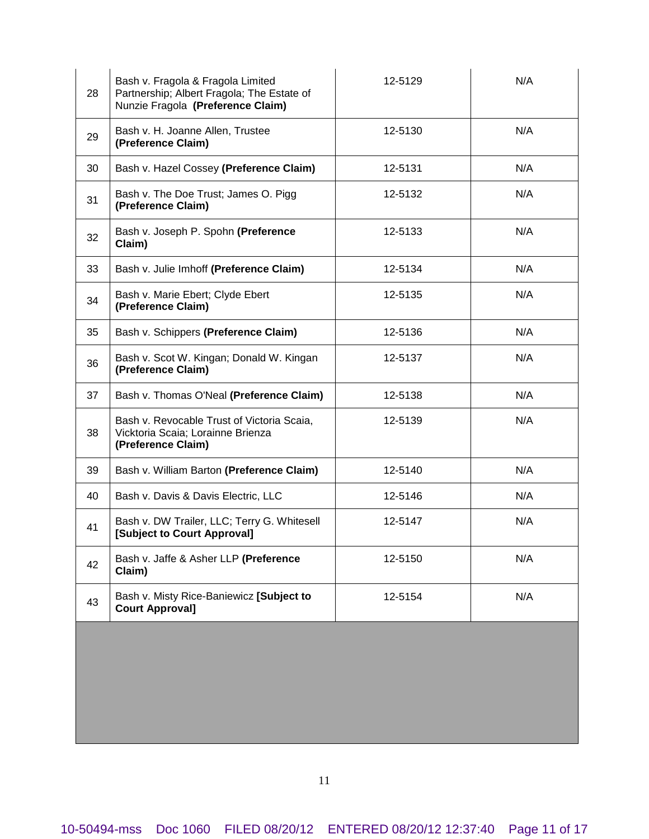| 28 | Bash v. Fragola & Fragola Limited<br>Partnership; Albert Fragola; The Estate of<br>Nunzie Fragola (Preference Claim) | 12-5129 | N/A |
|----|----------------------------------------------------------------------------------------------------------------------|---------|-----|
| 29 | Bash v. H. Joanne Allen, Trustee<br>(Preference Claim)                                                               | 12-5130 | N/A |
| 30 | Bash v. Hazel Cossey (Preference Claim)                                                                              | 12-5131 | N/A |
| 31 | Bash v. The Doe Trust; James O. Pigg<br>(Preference Claim)                                                           | 12-5132 | N/A |
| 32 | Bash v. Joseph P. Spohn (Preference<br>Claim)                                                                        | 12-5133 | N/A |
| 33 | Bash v. Julie Imhoff (Preference Claim)                                                                              | 12-5134 | N/A |
| 34 | Bash v. Marie Ebert; Clyde Ebert<br>(Preference Claim)                                                               | 12-5135 | N/A |
| 35 | Bash v. Schippers (Preference Claim)                                                                                 | 12-5136 | N/A |
| 36 | Bash v. Scot W. Kingan; Donald W. Kingan<br>(Preference Claim)                                                       | 12-5137 | N/A |
| 37 | Bash v. Thomas O'Neal (Preference Claim)                                                                             | 12-5138 | N/A |
| 38 | Bash v. Revocable Trust of Victoria Scaia,<br>Vicktoria Scaia; Lorainne Brienza<br>(Preference Claim)                | 12-5139 | N/A |
| 39 | Bash v. William Barton (Preference Claim)                                                                            | 12-5140 | N/A |
| 40 | Bash v. Davis & Davis Electric, LLC                                                                                  | 12-5146 | N/A |
| 41 | Bash v. DW Trailer, LLC; Terry G. Whitesell<br>[Subject to Court Approval]                                           | 12-5147 | N/A |
| 42 | Bash v. Jaffe & Asher LLP (Preference<br>Claim)                                                                      | 12-5150 | N/A |
| 43 | Bash v. Misty Rice-Baniewicz [Subject to<br><b>Court Approval]</b>                                                   | 12-5154 | N/A |
|    |                                                                                                                      |         |     |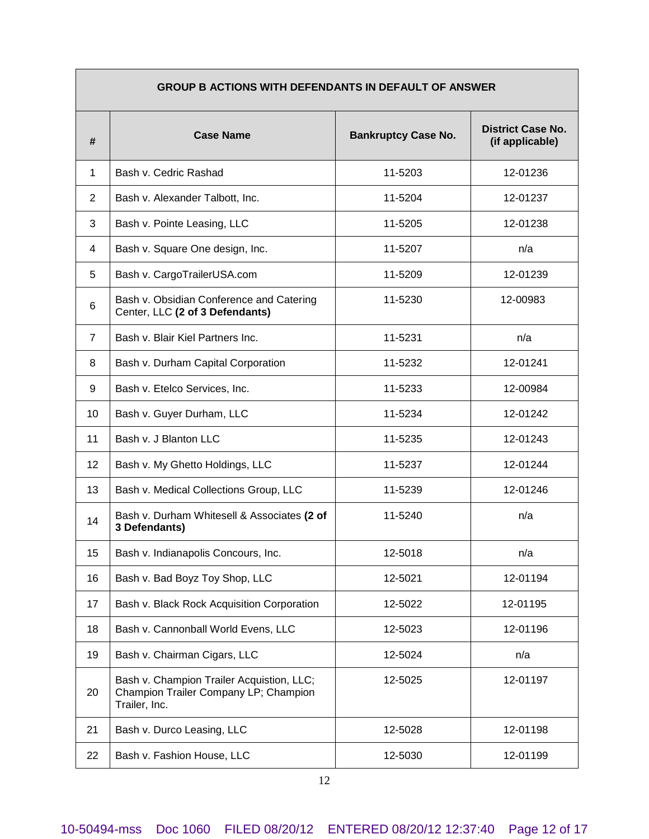| <b>GROUP B ACTIONS WITH DEFENDANTS IN DEFAULT OF ANSWER</b> |                                                                                                     |                            |                                             |
|-------------------------------------------------------------|-----------------------------------------------------------------------------------------------------|----------------------------|---------------------------------------------|
| #                                                           | <b>Case Name</b>                                                                                    | <b>Bankruptcy Case No.</b> | <b>District Case No.</b><br>(if applicable) |
| 1                                                           | Bash v. Cedric Rashad                                                                               | 11-5203                    | 12-01236                                    |
| $\overline{2}$                                              | Bash v. Alexander Talbott, Inc.                                                                     | 11-5204                    | 12-01237                                    |
| 3                                                           | Bash v. Pointe Leasing, LLC                                                                         | 11-5205                    | 12-01238                                    |
| 4                                                           | Bash v. Square One design, Inc.                                                                     | 11-5207                    | n/a                                         |
| 5                                                           | Bash v. CargoTrailerUSA.com                                                                         | 11-5209                    | 12-01239                                    |
| 6                                                           | Bash v. Obsidian Conference and Catering<br>Center, LLC (2 of 3 Defendants)                         | 11-5230                    | 12-00983                                    |
| $\overline{7}$                                              | Bash v. Blair Kiel Partners Inc.                                                                    | 11-5231                    | n/a                                         |
| 8                                                           | Bash v. Durham Capital Corporation                                                                  | 11-5232                    | 12-01241                                    |
| 9                                                           | Bash v. Etelco Services, Inc.                                                                       | 11-5233                    | 12-00984                                    |
| 10                                                          | Bash v. Guyer Durham, LLC                                                                           | 11-5234                    | 12-01242                                    |
| 11                                                          | Bash v. J Blanton LLC                                                                               | 11-5235                    | 12-01243                                    |
| 12                                                          | Bash v. My Ghetto Holdings, LLC                                                                     | 11-5237                    | 12-01244                                    |
| 13                                                          | Bash v. Medical Collections Group, LLC                                                              | 11-5239                    | 12-01246                                    |
| 14                                                          | Bash v. Durham Whitesell & Associates (2 of<br>3 Defendants)                                        | 11-5240                    | n/a                                         |
| 15                                                          | Bash v. Indianapolis Concours, Inc.                                                                 | 12-5018                    | n/a                                         |
| 16                                                          | Bash v. Bad Boyz Toy Shop, LLC                                                                      | 12-5021                    | 12-01194                                    |
| 17                                                          | Bash v. Black Rock Acquisition Corporation                                                          | 12-5022                    | 12-01195                                    |
| 18                                                          | Bash v. Cannonball World Evens, LLC                                                                 | 12-5023                    | 12-01196                                    |
| 19                                                          | Bash v. Chairman Cigars, LLC                                                                        | 12-5024                    | n/a                                         |
| 20                                                          | Bash v. Champion Trailer Acquistion, LLC;<br>Champion Trailer Company LP; Champion<br>Trailer, Inc. | 12-5025                    | 12-01197                                    |
| 21                                                          | Bash v. Durco Leasing, LLC                                                                          | 12-5028                    | 12-01198                                    |
| 22                                                          | Bash v. Fashion House, LLC                                                                          | 12-5030                    | 12-01199                                    |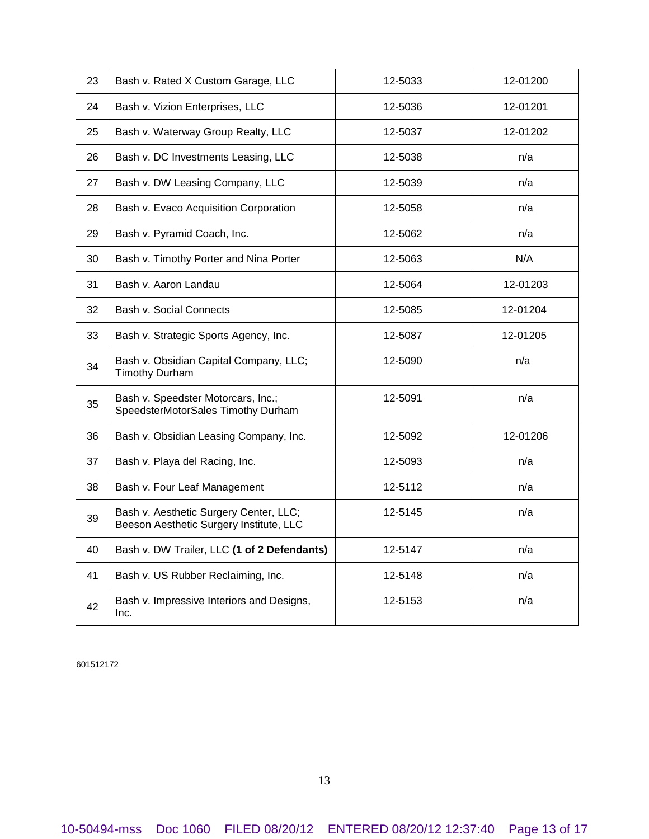| 23 | Bash v. Rated X Custom Garage, LLC                                                | 12-5033 | 12-01200 |
|----|-----------------------------------------------------------------------------------|---------|----------|
| 24 | Bash v. Vizion Enterprises, LLC                                                   | 12-5036 | 12-01201 |
| 25 | Bash v. Waterway Group Realty, LLC                                                | 12-5037 | 12-01202 |
| 26 | Bash v. DC Investments Leasing, LLC                                               | 12-5038 | n/a      |
| 27 | Bash v. DW Leasing Company, LLC                                                   | 12-5039 | n/a      |
| 28 | Bash v. Evaco Acquisition Corporation                                             | 12-5058 | n/a      |
| 29 | Bash v. Pyramid Coach, Inc.                                                       | 12-5062 | n/a      |
| 30 | Bash v. Timothy Porter and Nina Porter                                            | 12-5063 | N/A      |
| 31 | Bash v. Aaron Landau                                                              | 12-5064 | 12-01203 |
| 32 | Bash v. Social Connects                                                           | 12-5085 | 12-01204 |
| 33 | Bash v. Strategic Sports Agency, Inc.                                             | 12-5087 | 12-01205 |
| 34 | Bash v. Obsidian Capital Company, LLC;<br><b>Timothy Durham</b>                   | 12-5090 | n/a      |
| 35 | Bash v. Speedster Motorcars, Inc.;<br>SpeedsterMotorSales Timothy Durham          | 12-5091 | n/a      |
| 36 | Bash v. Obsidian Leasing Company, Inc.                                            | 12-5092 | 12-01206 |
| 37 | Bash v. Playa del Racing, Inc.                                                    | 12-5093 | n/a      |
| 38 | Bash v. Four Leaf Management                                                      | 12-5112 | n/a      |
| 39 | Bash v. Aesthetic Surgery Center, LLC;<br>Beeson Aesthetic Surgery Institute, LLC | 12-5145 | n/a      |
| 40 | Bash v. DW Trailer, LLC (1 of 2 Defendants)                                       | 12-5147 | n/a      |
| 41 | Bash v. US Rubber Reclaiming, Inc.                                                | 12-5148 | n/a      |
| 42 | Bash v. Impressive Interiors and Designs,<br>Inc.                                 | 12-5153 | n/a      |
|    |                                                                                   |         |          |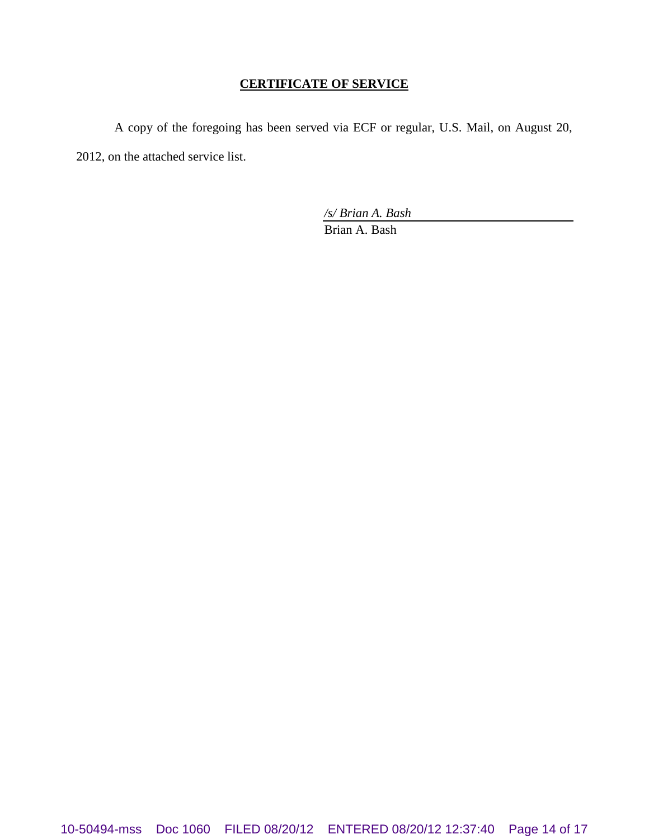## **CERTIFICATE OF SERVICE**

A copy of the foregoing has been served via ECF or regular, U.S. Mail, on August 20, 2012, on the attached service list.

*/s/ Brian A. Bash*

Brian A. Bash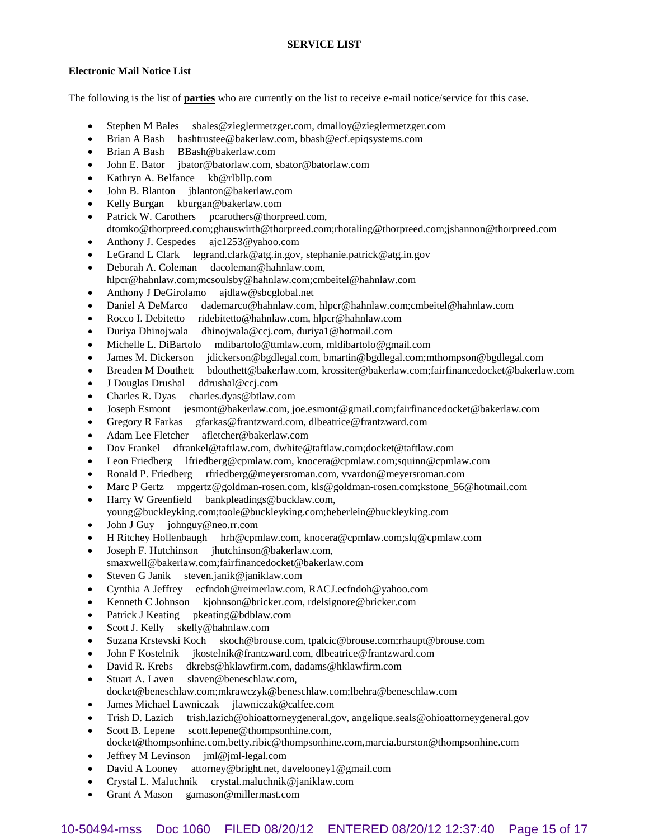### **Electronic Mail Notice List**

The following is the list of **parties** who are currently on the list to receive e-mail notice/service for this case.

- Stephen M Bales sbales@zieglermetzger.com, dmalloy@zieglermetzger.com
- Brian A Bash bashtrustee@bakerlaw.com, bbash@ecf.epiqsystems.com
- Brian A Bash BBash@bakerlaw.com
- John E. Bator jbator@batorlaw.com, sbator@batorlaw.com
- Kathryn A. Belfance kb@rlbllp.com
- John B. Blanton jblanton@bakerlaw.com
- Kelly Burgan kburgan@bakerlaw.com
- Patrick W. Carothers pcarothers@thorpreed.com, dtomko@thorpreed.com;ghauswirth@thorpreed.com;rhotaling@thorpreed.com;jshannon@thorpreed.com
- Anthony J. Cespedes ajc1253@yahoo.com
- LeGrand L Clark legrand.clark@atg.in.gov, stephanie.patrick@atg.in.gov
- Deborah A. Coleman dacoleman@hahnlaw.com, hlpcr@hahnlaw.com;mcsoulsby@hahnlaw.com;cmbeitel@hahnlaw.com
- Anthony J DeGirolamo ajdlaw@sbcglobal.net
- Daniel A DeMarco dademarco@hahnlaw.com, hlpcr@hahnlaw.com;cmbeitel@hahnlaw.com
- Rocco I. Debitetto ridebitetto@hahnlaw.com, hlpcr@hahnlaw.com
- Duriya Dhinojwala dhinojwala@ccj.com, duriya1@hotmail.com
- Michelle L. DiBartolo mdibartolo@ttmlaw.com, mldibartolo@gmail.com
- James M. Dickerson jdickerson@bgdlegal.com, bmartin@bgdlegal.com;mthompson@bgdlegal.com
- Breaden M Douthett bdouthett@bakerlaw.com, krossiter@bakerlaw.com;fairfinancedocket@bakerlaw.com
- J Douglas Drushal ddrushal@ccj.com
- Charles R. Dyas charles.dyas@btlaw.com
- Joseph Esmont jesmont@bakerlaw.com, joe.esmont@gmail.com;fairfinancedocket@bakerlaw.com
- Gregory R Farkas gfarkas@frantzward.com, dlbeatrice@frantzward.com
- Adam Lee Fletcher afletcher@bakerlaw.com
- Dov Frankel dfrankel@taftlaw.com, dwhite@taftlaw.com;docket@taftlaw.com
- Leon Friedberg lfriedberg@cpmlaw.com, knocera@cpmlaw.com;squinn@cpmlaw.com
- Ronald P. Friedberg rfriedberg@meyersroman.com, vvardon@meyersroman.com
- Marc P Gertz mpgertz@goldman-rosen.com, kls@goldman-rosen.com;kstone\_56@hotmail.com
- Harry W Greenfield bankpleadings@bucklaw.com,
- young@buckleyking.com;toole@buckleyking.com;heberlein@buckleyking.com
- John J Guy johnguy@neo.rr.com
- H Ritchey Hollenbaugh hrh@cpmlaw.com, knocera@cpmlaw.com;slq@cpmlaw.com
- Joseph F. Hutchinson jhutchinson@bakerlaw.com,
- smaxwell@bakerlaw.com;fairfinancedocket@bakerlaw.com
- Steven G Janik steven.janik@janiklaw.com
- Cynthia A Jeffrey ecfndoh@reimerlaw.com, RACJ.ecfndoh@yahoo.com
- Kenneth C Johnson kjohnson@bricker.com, rdelsignore@bricker.com
- Patrick J Keating pkeating@bdblaw.com
- Scott J. Kelly skelly@hahnlaw.com
- Suzana Krstevski Koch skoch@brouse.com, tpalcic@brouse.com;rhaupt@brouse.com
- John F Kostelnik jkostelnik@frantzward.com, dlbeatrice@frantzward.com
- David R. Krebs dkrebs@hklawfirm.com, dadams@hklawfirm.com
- Stuart A. Laven slaven@beneschlaw.com, docket@beneschlaw.com;mkrawczyk@beneschlaw.com;lbehra@beneschlaw.com
- James Michael Lawniczak jlawniczak@calfee.com
- Trish D. Lazich trish.lazich@ohioattorneygeneral.gov, angelique.seals@ohioattorneygeneral.gov
- Scott B. Lepene scott.lepene@thompsonhine.com, docket@thompsonhine.com,betty.ribic@thompsonhine.com,marcia.burston@thompsonhine.com
- Jeffrey M Levinson jml@jml-legal.com
- David A Looney attorney@bright.net, davelooney1@gmail.com
- Crystal L. Maluchnik crystal.maluchnik@janiklaw.com
- Grant A Mason gamason@millermast.com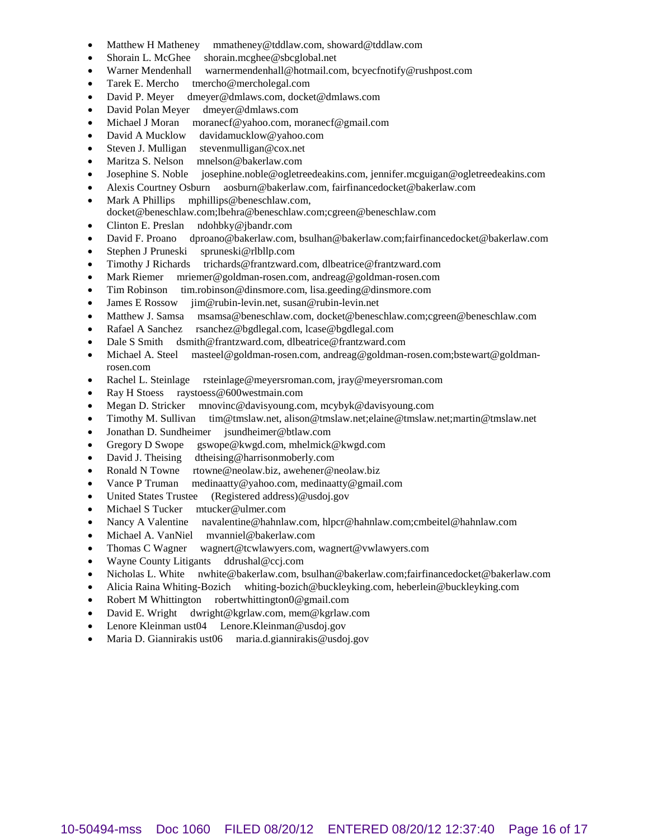- Matthew H Matheney mmatheney@tddlaw.com, showard@tddlaw.com
- Shorain L. McGhee shorain.mcghee@sbcglobal.net
- Warner Mendenhall warnermendenhall@hotmail.com, bcyecfnotify@rushpost.com
- Tarek E. Mercho tmercho@mercholegal.com
- David P. Meyer dmeyer@dmlaws.com, docket@dmlaws.com
- David Polan Meyer dmeyer@dmlaws.com
- Michael J Moran moranecf@yahoo.com, moranecf@gmail.com
- David A Mucklow davidamucklow@yahoo.com
- Steven J. Mulligan stevenmulligan@cox.net
- Maritza S. Nelson mnelson@bakerlaw.com
- Josephine S. Noble josephine.noble@ogletreedeakins.com, jennifer.mcguigan@ogletreedeakins.com
- Alexis Courtney Osburn aosburn@bakerlaw.com, fairfinancedocket@bakerlaw.com
- Mark A Phillips mphillips@beneschlaw.com,
- docket@beneschlaw.com;lbehra@beneschlaw.com;cgreen@beneschlaw.com
- Clinton E. Preslan ndohbky@jbandr.com
- David F. Proano dproano@bakerlaw.com, bsulhan@bakerlaw.com;fairfinancedocket@bakerlaw.com
- Stephen J Pruneski spruneski@rlbllp.com
- Timothy J Richards trichards@frantzward.com, dlbeatrice@frantzward.com
- Mark Riemer mriemer@goldman-rosen.com, andreag@goldman-rosen.com
- Tim Robinson tim.robinson@dinsmore.com, lisa.geeding@dinsmore.com
- James E Rossow jim@rubin-levin.net, susan@rubin-levin.net
- Matthew J. Samsa msamsa@beneschlaw.com, docket@beneschlaw.com;cgreen@beneschlaw.com
- Rafael A Sanchez rsanchez@bgdlegal.com, lcase@bgdlegal.com
- Dale S Smith dsmith@frantzward.com, dlbeatrice@frantzward.com
- Michael A. Steel masteel@goldman-rosen.com, andreag@goldman-rosen.com;bstewart@goldmanrosen.com
- Rachel L. Steinlage rsteinlage@meyersroman.com, jray@meyersroman.com
- Ray H Stoess raystoess@600westmain.com
- Megan D. Stricker mnovinc@davisyoung.com, mcybyk@davisyoung.com
- Timothy M. Sullivan tim@tmslaw.net, alison@tmslaw.net;elaine@tmslaw.net;martin@tmslaw.net
- Jonathan D. Sundheimer jsundheimer@btlaw.com
- Gregory D Swope gswope@kwgd.com, mhelmick@kwgd.com
- David J. Theising dtheising@harrisonmoberly.com
- Ronald N Towne rtowne@neolaw.biz, awehener@neolaw.biz
- Vance P Truman medinaatty@yahoo.com, medinaatty@gmail.com
- United States Trustee (Registered address)@usdoj.gov
- Michael S Tucker mtucker@ulmer.com
- Nancy A Valentine navalentine@hahnlaw.com, hlpcr@hahnlaw.com;cmbeitel@hahnlaw.com
- Michael A. VanNiel mvanniel@bakerlaw.com
- Thomas C Wagner wagnert@tcwlawyers.com, wagnert@vwlawyers.com
- Wayne County Litigants ddrushal@ccj.com
- Nicholas L. White nwhite@bakerlaw.com, bsulhan@bakerlaw.com;fairfinancedocket@bakerlaw.com
- Alicia Raina Whiting-Bozich whiting-bozich@buckleyking.com, heberlein@buckleyking.com
- Robert M Whittington robertwhittington0@gmail.com
- David E. Wright dwright@kgrlaw.com, mem@kgrlaw.com
- Lenore Kleinman ust04 Lenore.Kleinman@usdoj.gov
- Maria D. Giannirakis ust06 maria.d.giannirakis@usdoj.gov